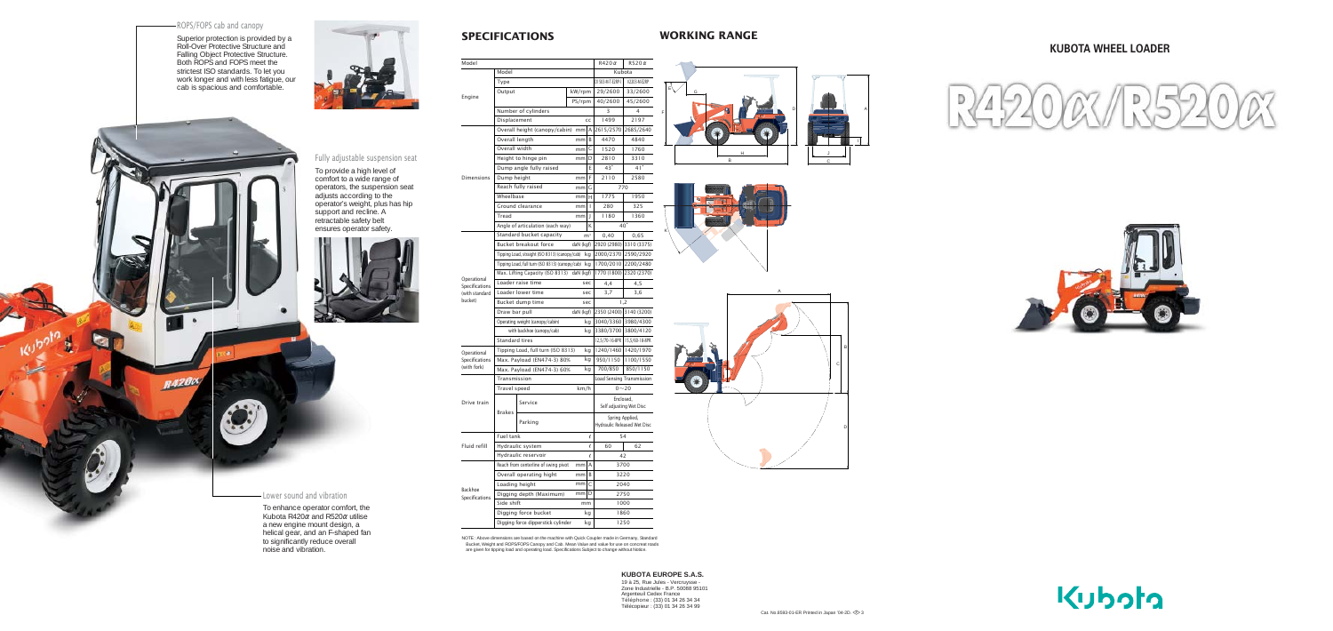# **KUBOTA WHEEL LOADER**

| Model                                                      |                                                 |           |              |                                                | $R420\alpha$            | $R520 \alpha$           |
|------------------------------------------------------------|-------------------------------------------------|-----------|--------------|------------------------------------------------|-------------------------|-------------------------|
| Engine                                                     | Model                                           |           |              |                                                | Kubota                  |                         |
|                                                            | Type                                            |           |              |                                                | D1503-M-T-E2RP-1        | V2203-M-E2RP            |
|                                                            | Output                                          |           | kW/rpm       |                                                | 29/2600                 | 33/2600                 |
|                                                            |                                                 |           | PS/rpm       |                                                | 40/2600                 | 45/2600                 |
|                                                            | Number of cylinders                             |           |              |                                                | 3                       | 4                       |
|                                                            | Displacement                                    |           |              | cc                                             | 1499                    | 2197                    |
| <b>Dimensions</b>                                          | Overall height (canopy/cabin)                   |           | mm           | A                                              | 2615/2570               | 2685/2640               |
|                                                            | Overall length                                  | mm        | B            | 4470                                           | 4840                    |                         |
|                                                            | Overall width                                   | mm        | C            | 1520                                           | 1760                    |                         |
|                                                            | Height to hinge pin                             | mm        | D            | 2810                                           | 3310                    |                         |
|                                                            | Dump angle fully raised                         |           |              | E                                              | $43^\circ$              | 41°                     |
|                                                            | Dump height                                     | mm        | F            | 2110                                           | 2580                    |                         |
|                                                            | Reach fully raised                              | mm        | G            | 770                                            |                         |                         |
|                                                            | Wheelbase                                       | mm        | н            | 1775                                           | 1950                    |                         |
|                                                            | Ground clearance                                | mm        | $\mathsf{I}$ | 280                                            | 325                     |                         |
|                                                            | Tread                                           | mm        | J            | 1180                                           | 1360                    |                         |
|                                                            | Angle of articulation (each way)                |           |              | K                                              |                         | $40^{\circ}$            |
| Operational<br>Specifications<br>(with standard<br>bucket) | Standard bucket capacity                        |           |              | m <sup>3</sup>                                 | 0,40                    | 0,65                    |
|                                                            | Bucket breakout force                           | daN (kgf) |              |                                                | 2920 (2980) 3310 (3375) |                         |
|                                                            | Tipping Load, straight (ISO 8313) (canopy/cab)  |           | kg           |                                                | 2000/2370 2590/2920     |                         |
|                                                            | Tipping Load, full turn (ISO 8313) (canopy/cab) |           | kg           | 1700/2010                                      | 2200/2480               |                         |
|                                                            | Max. Lifting Capacity (ISO 8313) daN (kgf)      |           |              |                                                | 1770 (1800)             | 2320 (2370)             |
|                                                            | Loader raise time                               |           |              | sec                                            | 4,4                     | 4,5                     |
|                                                            | Loader lower time                               |           |              | sec                                            | 3,7                     | 3,6                     |
|                                                            | Bucket dump time                                |           |              | sec                                            | 1,2                     |                         |
|                                                            | Draw bar pull                                   |           | daN (kgf)    |                                                |                         | 2350 (2400) 3140 (3200) |
|                                                            | Operating weight (canopy/cabin)                 |           |              | kg                                             |                         | 3040/3360 3980/4300     |
|                                                            | with backhoe (canopy/cab)                       |           | kg           | 3380/3700                                      | 3800/4120               |                         |
|                                                            | Standard tires                                  |           |              |                                                | 12,5/70-16-8PR          | 15,5/60-18-8PR          |
| Operational<br>Specifications<br>(with fork)               | Tipping Load, full turn (ISO 8313)              |           | kg           |                                                | 1240/1460   1420/1970   |                         |
|                                                            | Max. Payload (EN474-3) 80%                      |           | kg           | 950/1150                                       | 1100/1550               |                         |
|                                                            | Max. Payload (EN474-3) 60%                      |           |              | kg                                             | 700/850                 | 850/1150                |
| Drive train                                                | Transmission                                    |           |              | <b>Load Sensing Transmission</b>               |                         |                         |
|                                                            | km/h<br>Travel speed                            |           |              | $0 - 20$                                       |                         |                         |
|                                                            | <b>Brakes</b>                                   | Service   |              | Enclosed,<br>Self adjusting Wet Disc           |                         |                         |
|                                                            |                                                 | Parking   |              | Spring Applied,<br>Hydraulic Released Wet Disc |                         |                         |
| Fluid refill                                               | Fuel tank                                       |           |              | $\ell$                                         | 54                      |                         |
|                                                            | Hydraulic system                                |           |              | $\ell$                                         | 60                      | 62                      |
|                                                            | Hydraulic reservoir                             |           |              | $\ell$                                         | 42                      |                         |
| Backhoe<br>Specifications                                  | Reach from centerline of swing pivot            |           | mm           | Α                                              | 3700                    |                         |
|                                                            | Overall operating hight                         |           | mm           | B                                              | 3220                    |                         |
|                                                            | Loading height                                  | mm        | C            | 2040                                           |                         |                         |
|                                                            | Digging depth (Maximum)                         | mm        | D            | 2750                                           |                         |                         |
|                                                            | Side shift                                      |           | mm           |                                                | 1000                    |                         |
|                                                            | Digging force bucket                            |           |              | kg                                             | 1860                    |                         |
|                                                            | Digging force dipperstick cylinder              |           |              | kg                                             | 1250                    |                         |
|                                                            |                                                 |           |              |                                                |                         |                         |

NOTE : Above dimensions are based on the machine with Quick Coupler made in Germany, Standard<br>Bucket, Weight and ROPS/FOPS Canopy and Cab. Mean Value and value for use on concreat roads<br>are given for tipping load and opera

# **SPECIFICATIONS WORKING RANGE**

### ROPS/FOPS cab and canopy

**8420×** 

Superior protection is provided by a Roll-Over Protective Structure and Falling Object Protective Structure. Both ROPS and FOPS meet the strictest ISO standards. To let you work longer and with less fatigue, our cab is spacious and comfortable.



## Fully adjustable suspension seat

To provide a high level of comfort to a wide range of operators, the suspension seat adjusts according to the operator's weight, plus has hip support and recline. A retractable safety belt ensures operator safety.



Lower sound and vibration

To enhance operator comfort, the Kubota R420α and R520α utilise a new engine mount design, a helical gear, and an F-shaped fan to significantly reduce overall

noise and vibration.



E

K















Cat. No.8593-01-ER Printed in Japan '04-2D.  $\otimes$ 3

**KUBOTA EUROPE S.A.S.**

19 à 25, Rue Jules - Vercruysse - Zone Industrielle - B.P. 50088 95101 Argenteuil Cedex France Téléphone : (33) 01 34 26 34 34 Télécopieur : (33) 01 34 26 34 99